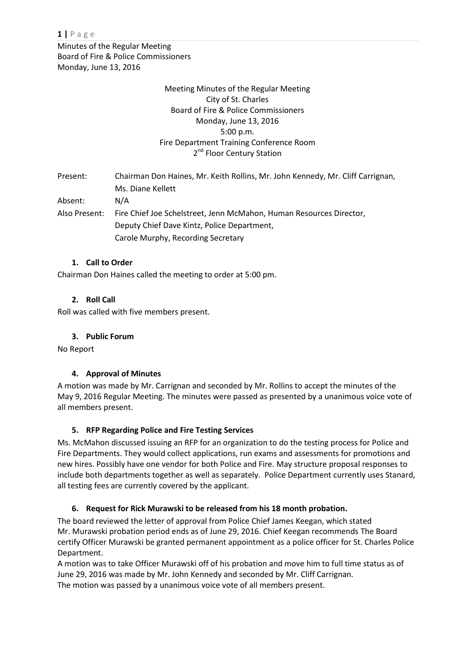Minutes of the Regular Meeting Board of Fire & Police Commissioners Monday, June 13, 2016

# Meeting Minutes of the Regular Meeting City of St. Charles Board of Fire & Police Commissioners Monday, June 13, 2016 5:00 p.m. Fire Department Training Conference Room 2<sup>nd</sup> Floor Century Station

Present: Chairman Don Haines, Mr. Keith Rollins, Mr. John Kennedy, Mr. Cliff Carrignan, Ms. Diane Kellett Absent: N/A Also Present: Fire Chief Joe Schelstreet, Jenn McMahon, Human Resources Director, Deputy Chief Dave Kintz, Police Department, Carole Murphy, Recording Secretary

# **1. Call to Order**

Chairman Don Haines called the meeting to order at 5:00 pm.

# **2. Roll Call**

Roll was called with five members present.

### **3. Public Forum**

No Report

### **4. Approval of Minutes**

A motion was made by Mr. Carrignan and seconded by Mr. Rollins to accept the minutes of the May 9, 2016 Regular Meeting. The minutes were passed as presented by a unanimous voice vote of all members present.

### **5. RFP Regarding Police and Fire Testing Services**

Ms. McMahon discussed issuing an RFP for an organization to do the testing process for Police and Fire Departments. They would collect applications, run exams and assessments for promotions and new hires. Possibly have one vendor for both Police and Fire. May structure proposal responses to include both departments together as well as separately. Police Department currently uses Stanard, all testing fees are currently covered by the applicant.

### **6. Request for Rick Murawski to be released from his 18 month probation.**

The board reviewed the letter of approval from Police Chief James Keegan, which stated Mr. Murawski probation period ends as of June 29, 2016. Chief Keegan recommends The Board certify Officer Murawski be granted permanent appointment as a police officer for St. Charles Police Department.

A motion was to take Officer Murawski off of his probation and move him to full time status as of June 29, 2016 was made by Mr. John Kennedy and seconded by Mr. Cliff Carrignan. The motion was passed by a unanimous voice vote of all members present.